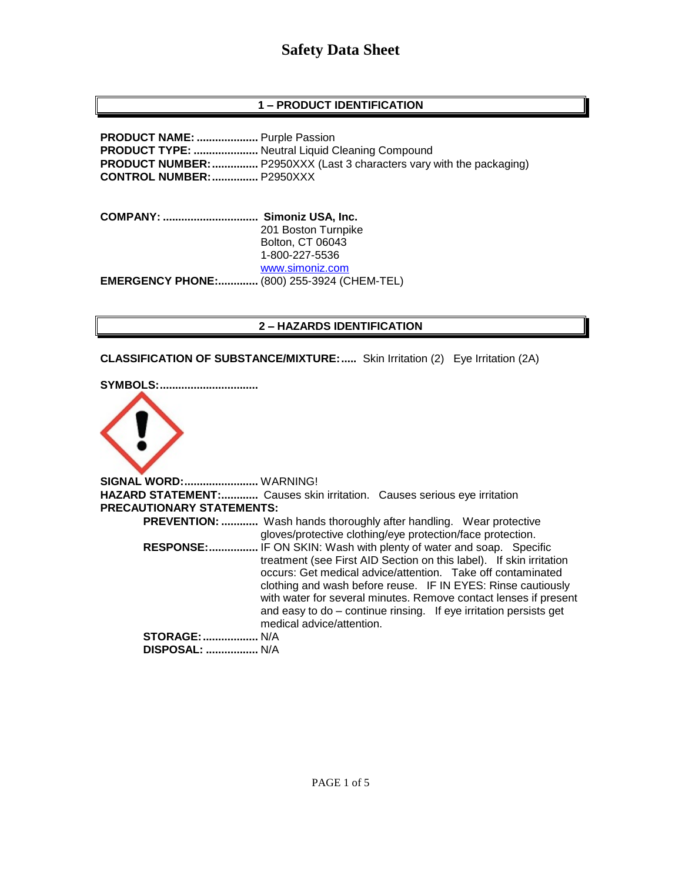# **Safety Data Sheet**

# **1 – PRODUCT IDENTIFICATION**

**PRODUCT NAME: ....................** Purple Passion **PRODUCT TYPE: .....................** Neutral Liquid Cleaning Compound **PRODUCT NUMBER:**................. P2950XXX (Last 3 characters vary with the packaging) **CONTROL NUMBER:...............** P2950XXX

**COMPANY: ............................... Simoniz USA, Inc.** 201 Boston Turnpike Bolton, CT 06043 1-800-227-5536 [www.simoniz.com](http://www.simoniz.com/) **EMERGENCY PHONE:.............** (800) 255-3924 (CHEM-TEL)

#### **2 – HAZARDS IDENTIFICATION**

**CLASSIFICATION OF SUBSTANCE/MIXTURE:.....** Skin Irritation (2) Eye Irritation (2A)

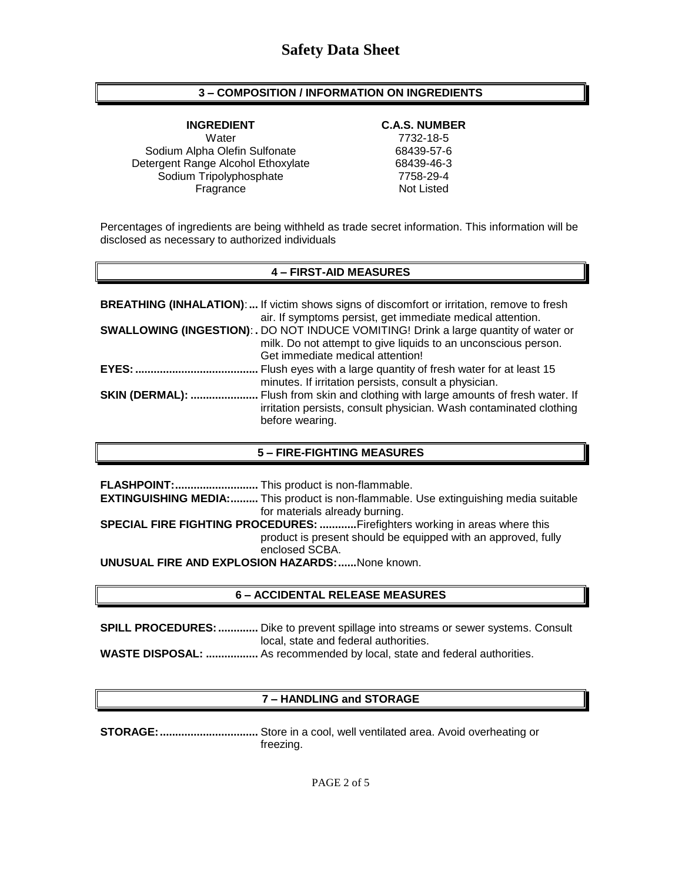## **3 – COMPOSITION / INFORMATION ON INGREDIENTS**

Water 7732-18-5 Sodium Alpha Olefin Sulfonate 68439-57-6 Detergent Range Alcohol Ethoxylate 68439-46-3 Sodium Tripolyphosphate 7758-29-4 Fragrance Not Listed

#### **INGREDIENT C.A.S. NUMBER**

Percentages of ingredients are being withheld as trade secret information. This information will be disclosed as necessary to authorized individuals

## **4 – FIRST-AID MEASURES**

|                        | <b>BREATHING (INHALATION):</b> If victim shows signs of discomfort or irritation, remove to fresh<br>air. If symptoms persist, get immediate medical attention. |
|------------------------|-----------------------------------------------------------------------------------------------------------------------------------------------------------------|
|                        | <b>SWALLOWING (INGESTION): . DO NOT INDUCE VOMITING! Drink a large quantity of water or</b>                                                                     |
|                        | milk. Do not attempt to give liquids to an unconscious person.                                                                                                  |
|                        | Get immediate medical attention!                                                                                                                                |
| <b>EYES: </b>          | Flush eyes with a large quantity of fresh water for at least 15                                                                                                 |
|                        | minutes. If irritation persists, consult a physician.                                                                                                           |
| <b>SKIN (DERMAL): </b> | Flush from skin and clothing with large amounts of fresh water. If                                                                                              |
|                        | irritation persists, consult physician. Wash contaminated clothing                                                                                              |
|                        | before wearing.                                                                                                                                                 |

### **5 – FIRE-FIGHTING MEASURES**

**FLASHPOINT:...........................** This product is non-flammable. **EXTINGUISHING MEDIA:.........** This product is non-flammable. Use extinguishing media suitable for materials already burning. **SPECIAL FIRE FIGHTING PROCEDURES: ............**Firefighters working in areas where this product is present should be equipped with an approved, fully enclosed SCBA. **UNUSUAL FIRE AND EXPLOSION HAZARDS:......**None known.

### **6 – ACCIDENTAL RELEASE MEASURES**

**SPILL PROCEDURES:.............** Dike to prevent spillage into streams or sewer systems. Consult local, state and federal authorities. **WASTE DISPOSAL: .................** As recommended by local, state and federal authorities.

### **7 – HANDLING and STORAGE**

**STORAGE:................................** Store in a cool, well ventilated area. Avoid overheating or freezing.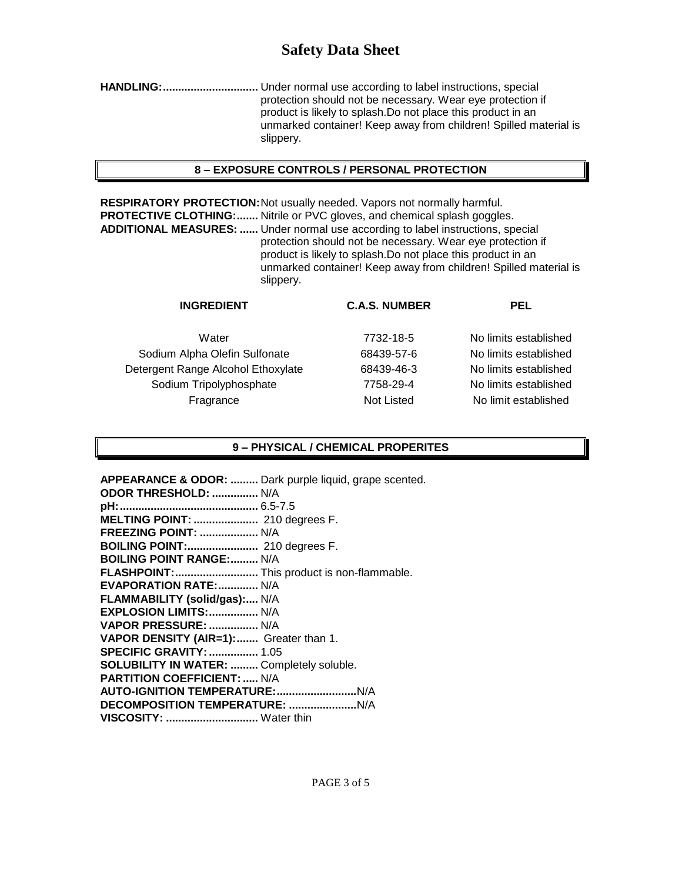# **Safety Data Sheet**

**HANDLING:...............................** Under normal use according to label instructions, special protection should not be necessary. Wear eye protection if product is likely to splash.Do not place this product in an unmarked container! Keep away from children! Spilled material is slippery.

## **8 – EXPOSURE CONTROLS / PERSONAL PROTECTION**

**RESPIRATORY PROTECTION:**Not usually needed. Vapors not normally harmful. **PROTECTIVE CLOTHING:.......** Nitrile or PVC gloves, and chemical splash goggles. **ADDITIONAL MEASURES: ......** Under normal use according to label instructions, special protection should not be necessary. Wear eye protection if product is likely to splash.Do not place this product in an unmarked container! Keep away from children! Spilled material is slippery.

| <b>INGREDIENT</b>                  | <b>C.A.S. NUMBER</b> | <b>PEL</b>            |
|------------------------------------|----------------------|-----------------------|
| Water                              | 7732-18-5            | No limits established |
| Sodium Alpha Olefin Sulfonate      | 68439-57-6           | No limits established |
| Detergent Range Alcohol Ethoxylate | 68439-46-3           | No limits established |
| Sodium Tripolyphosphate            | 7758-29-4            | No limits established |
| Fragrance                          | Not Listed           | No limit established  |
|                                    |                      |                       |
|                                    |                      |                       |

#### **9 – PHYSICAL / CHEMICAL PROPERITES**

**APPEARANCE & ODOR: .........** Dark purple liquid, grape scented. **ODOR THRESHOLD: ...............** N/A **pH:.............................................** 6.5-7.5 **MELTING POINT: .....................** 210 degrees F. **FREEZING POINT: ...................** N/A **BOILING POINT:.......................** 210 degrees F. **BOILING POINT RANGE:.........** N/A **FLASHPOINT:...........................** This product is non-flammable. **EVAPORATION RATE:.............** N/A **FLAMMABILITY (solid/gas):....** N/A **EXPLOSION LIMITS:................** N/A **VAPOR PRESSURE: ................** N/A **VAPOR DENSITY (AIR=1):.......** Greater than 1. **SPECIFIC GRAVITY:................** 1.05 **SOLUBILITY IN WATER: .........** Completely soluble. **PARTITION COEFFICIENT: .....** N/A **AUTO-IGNITION TEMPERATURE:..........................**N/A **DECOMPOSITION TEMPERATURE: ......................**N/A **VISCOSITY: ..............................** Water thin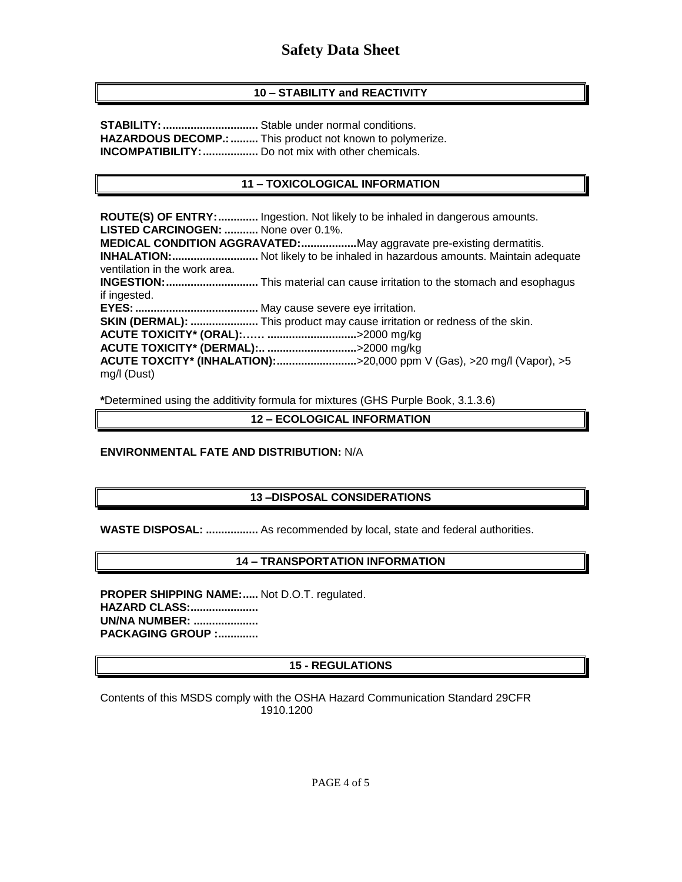# **10 – STABILITY and REACTIVITY**

**STABILITY:...............................** Stable under normal conditions. **HAZARDOUS DECOMP.:.........** This product not known to polymerize. **INCOMPATIBILITY:..................** Do not mix with other chemicals.

# **11 – TOXICOLOGICAL INFORMATION**

**ROUTE(S) OF ENTRY:.............** Ingestion. Not likely to be inhaled in dangerous amounts. **LISTED CARCINOGEN: ...........** None over 0.1%. **MEDICAL CONDITION AGGRAVATED:..................**May aggravate pre-existing dermatitis. **INHALATION:............................** Not likely to be inhaled in hazardous amounts. Maintain adequate ventilation in the work area. **INGESTION:..............................** This material can cause irritation to the stomach and esophagus if ingested. **EYES:........................................** May cause severe eye irritation. **SKIN (DERMAL): ......................** This product may cause irritation or redness of the skin. **ACUTE TOXICITY\* (ORAL):…… .............................**>2000 mg/kg **ACUTE TOXICITY\* (DERMAL):.. .............................**>2000 mg/kg **ACUTE TOXCITY\* (INHALATION):..........................**>20,000 ppm V (Gas), >20 mg/l (Vapor), >5 mg/l (Dust)

**\***Determined using the additivity formula for mixtures (GHS Purple Book, 3.1.3.6)

**12 – ECOLOGICAL INFORMATION**

### **ENVIRONMENTAL FATE AND DISTRIBUTION:** N/A

# **13 –DISPOSAL CONSIDERATIONS**

**WASTE DISPOSAL: .................** As recommended by local, state and federal authorities.

# **14 – TRANSPORTATION INFORMATION**

**PROPER SHIPPING NAME:.....** Not D.O.T. regulated. **HAZARD CLASS:...................... UN/NA NUMBER: ..................... PACKAGING GROUP :.............**

# **15 - REGULATIONS**

Contents of this MSDS comply with the OSHA Hazard Communication Standard 29CFR 1910.1200